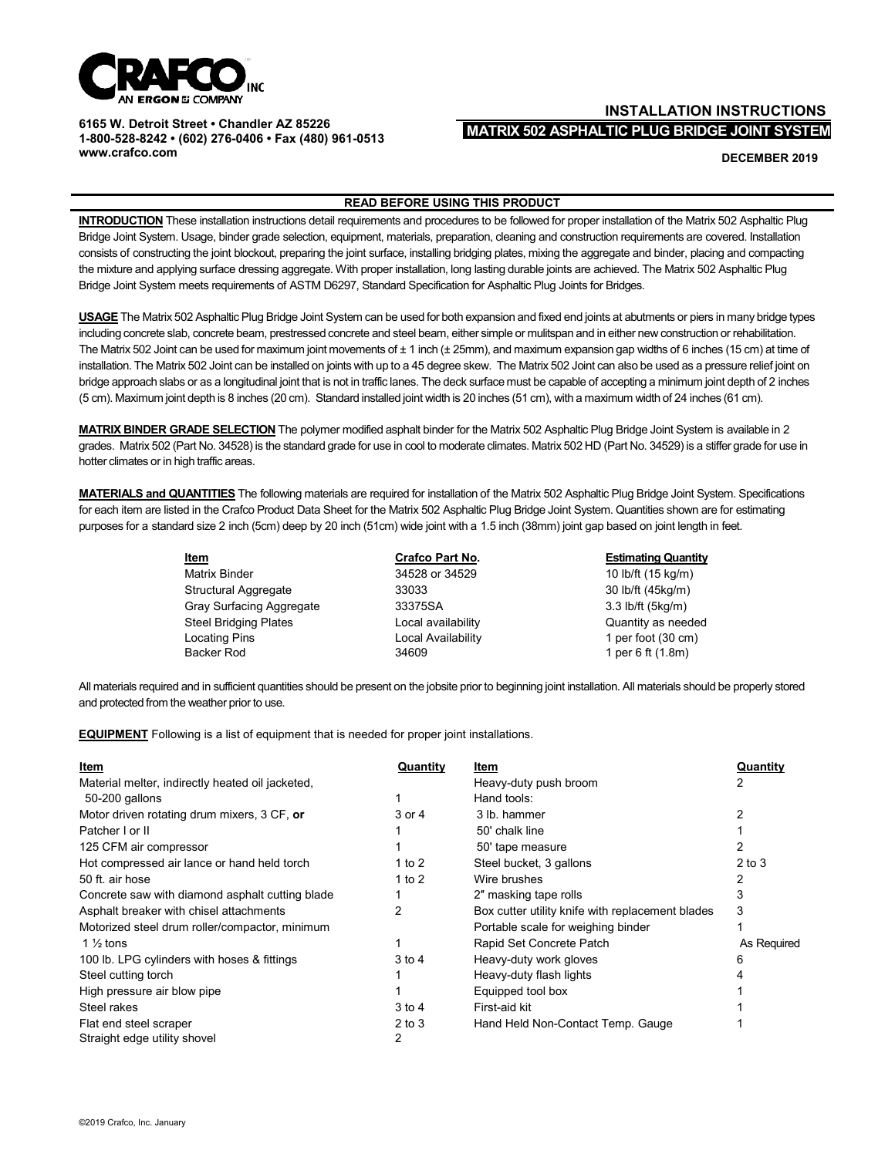

**6165 W. Detroit Street • Chandler AZ 85226 1-800-528-8242 • (602) 276-0406 • Fax (480) 961-0513 [www.crafco.com](http://www.crafco.com/)**

## **INSTALLATION INSTRUCTIONS MATRIX 502 ASPHALTIC PLUG BRIDGE JOINT SYSTEM**

**DECEMBER 2019**

## **READ BEFORE USING THIS PRODUCT**

**INTRODUCTION** These installation instructions detail requirements and procedures to be followed for proper installation of the Matrix 502 Asphaltic Plug Bridge Joint System. Usage, binder grade selection, equipment, materials, preparation, cleaning and construction requirements are covered. Installation consists of constructing the joint blockout, preparing the joint surface, installing bridging plates, mixing the aggregate and binder, placing and compacting the mixture and applying surface dressing aggregate. With proper installation, long lasting durable joints are achieved. The Matrix 502 Asphaltic Plug Bridge Joint System meets requirements of ASTM D6297, Standard Specification for Asphaltic Plug Joints for Bridges.

**USAGE** The Matrix 502 Asphaltic Plug Bridge Joint System can be used for both expansion and fixed end joints at abutments or piers in many bridge types including concrete slab, concrete beam, prestressed concrete and steel beam, either simple or mulitspan and in either new construction or rehabilitation. The Matrix 502 Joint can be used for maximum joint movements of ± 1 inch (± 25mm), and maximum expansion gap widths of 6 inches (15 cm) at time of installation. The Matrix 502 Joint can be installed on joints with up to a 45 degree skew. The Matrix 502 Joint can also be used as a pressure relief joint on bridge approach slabs or as a longitudinal joint that is not in traffic lanes. The deck surface must be capable of accepting a minimum joint depth of 2 inches (5 cm). Maximum joint depth is 8 inches (20 cm). Standard installed joint width is 20 inches (51 cm), with a maximum width of 24 inches (61 cm).

**MATRIX BINDER GRADE SELECTION** The polymer modified asphalt binder for the Matrix 502 Asphaltic Plug Bridge Joint System is available in 2 grades. Matrix 502 (Part No. 34528) is the standard grade for use in cool to moderate climates. Matrix 502 HD (Part No. 34529) is a stiffer grade for use in hotter climates or in high traffic areas.

**MATERIALS and QUANTITIES** The following materials are required for installation of the Matrix 502 Asphaltic Plug Bridge Joint System. Specifications for each item are listed in the Crafco Product Data Sheet for the Matrix 502 Asphaltic Plug Bridge Joint System. Quantities shown are for estimating purposes for a standard size 2 inch (5cm) deep by 20 inch (51cm) wide joint with a 1.5 inch (38mm) joint gap based on joint length in feet.

> **Item Crafco Part No. Estimating Quantity** Matrix Binder 2008 10 minutes 34528 or 34529 10 lb/ft (15 kg/m) Structural Aggregate 33033 30033 30 lb/ft (45kg/m) Gray Surfacing Aggregate 33375SA 33375SA 3.3 lb/ft (5kg/m) Steel Bridging Plates **Local availability Constant Constant Constant Constant Constant Constant Constant Constant** Locating Pins **Local Availability** 1 per foot (30 cm) Backer Rod **34609** 34609 **1** per 6 ft (1.8m)

All materials required and in sufficient quantities should be present on the jobsite prior to beginning joint installation. All materials should be properly stored and protected from the weather prior to use.

**EQUIPMENT** Following is a list of equipment that is needed for proper joint installations.

| Item                                             | Quantity   | Item                                             | Quantity    |
|--------------------------------------------------|------------|--------------------------------------------------|-------------|
| Material melter, indirectly heated oil jacketed, |            | Heavy-duty push broom                            |             |
| 50-200 gallons                                   |            | Hand tools:                                      |             |
| Motor driven rotating drum mixers, 3 CF, or      | 3 or 4     | 3 lb. hammer                                     | 2           |
| Patcher I or II                                  |            | 50' chalk line                                   |             |
| 125 CFM air compressor                           |            | 50' tape measure                                 |             |
| Hot compressed air lance or hand held torch      | 1 to 2     | Steel bucket, 3 gallons                          | $2$ to $3$  |
| 50 ft. air hose                                  | 1 to $2$   | Wire brushes                                     |             |
| Concrete saw with diamond asphalt cutting blade  |            | 2" masking tape rolls                            | 3           |
| Asphalt breaker with chisel attachments          | 2          | Box cutter utility knife with replacement blades | 3           |
| Motorized steel drum roller/compactor, minimum   |            | Portable scale for weighing binder               |             |
| 1 $\frac{1}{2}$ tons                             |            | Rapid Set Concrete Patch                         | As Required |
| 100 lb. LPG cylinders with hoses & fittings      | $3$ to $4$ | Heavy-duty work gloves                           | 6           |
| Steel cutting torch                              |            | Heavy-duty flash lights                          |             |
| High pressure air blow pipe                      |            | Equipped tool box                                |             |
| Steel rakes                                      | $3$ to $4$ | First-aid kit                                    |             |
| Flat end steel scraper                           | $2$ to $3$ | Hand Held Non-Contact Temp. Gauge                |             |
| Straight edge utility shovel                     | 2          |                                                  |             |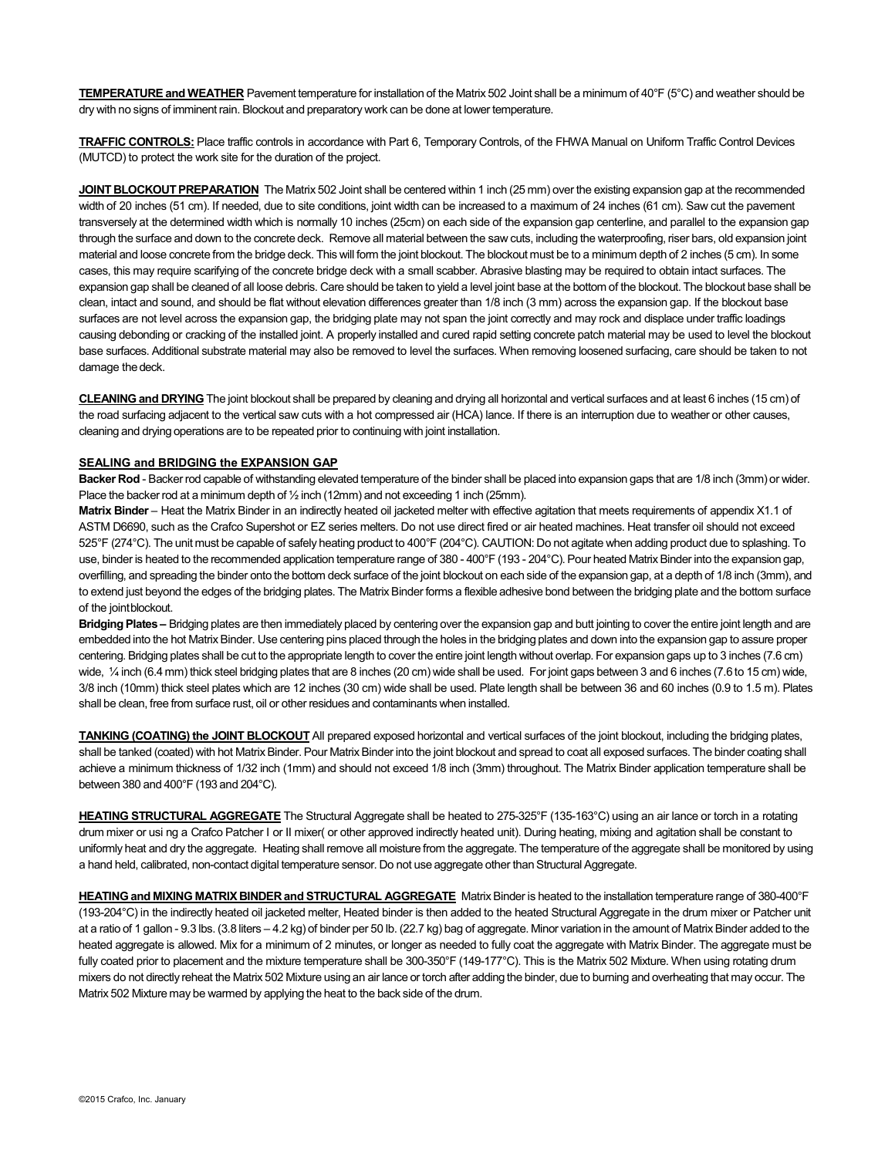**TEMPERATURE and WEATHER** Pavement temperature for installation of the Matrix 502 Joint shall be a minimum of 40°F (5°C) and weather should be dry with no signs of imminent rain. Blockout and preparatory work can be done at lower temperature.

**TRAFFIC CONTROLS:** Place traffic controls in accordance with Part 6, Temporary Controls, of the FHWA Manual on Uniform Traffic Control Devices (MUTCD) to protect the work site for the duration of the project.

**JOINT BLOCKOUT PREPARATION** The Matrix 502 Joint shall be centered within 1 inch (25 mm) over the existing expansion gap at the recommended width of 20 inches (51 cm). If needed, due to site conditions, joint width can be increased to a maximum of 24 inches (61 cm). Saw cut the pavement transversely at the determined width which is normally 10 inches (25cm) on each side of the expansion gap centerline, and parallel to the expansion gap through the surface and down to the concrete deck. Remove all material between the saw cuts, including the waterproofing, riser bars, old expansion joint material and loose concrete from the bridge deck. This will form the joint blockout. The blockout must be to a minimum depth of 2 inches (5 cm). In some cases, this may require scarifying of the concrete bridge deck with a small scabber. Abrasive blasting may be required to obtain intact surfaces. The expansion gap shall be cleaned of all loose debris. Care should be taken to yield a level joint base at the bottom of the blockout. The blockout base shall be clean, intact and sound, and should be flat without elevation differences greater than 1/8 inch (3 mm) across the expansion gap. If the blockout base surfaces are not level across the expansion gap, the bridging plate may not span the joint correctly and may rock and displace under traffic loadings causing debonding or cracking of the installed joint. A properly installed and cured rapid setting concrete patch material may be used to level the blockout base surfaces. Additional substrate material may also be removed to level the surfaces. When removing loosened surfacing, care should be taken to not damage the deck.

**CLEANING and DRYING** The joint blockout shall be prepared by cleaning and drying all horizontal and vertical surfaces and at least 6 inches (15 cm) of the road surfacing adjacent to the vertical saw cuts with a hot compressed air (HCA) lance. If there is an interruption due to weather or other causes, cleaning and drying operations are to be repeated prior to continuing with joint installation.

## **SEALING and BRIDGING the EXPANSION GAP**

**Backer Rod** - Backer rod capable of withstanding elevated temperature of the binder shall be placed into expansion gaps that are 1/8 inch (3mm) or wider. Place the backer rod at a minimum depth of  $\frac{1}{2}$  inch (12mm) and not exceeding 1 inch (25mm).

**Matrix Binder** – Heat the Matrix Binder in an indirectly heated oil jacketed melter with effective agitation that meets requirements of appendix X1.1 of ASTM D6690, such as the Crafco Supershot or EZ series melters. Do not use direct fired or air heated machines. Heat transfer oil should not exceed 525°F (274°C). The unit must be capable of safely heating product to 400°F (204°C). CAUTION: Do not agitate when adding product due to splashing. To use, binder is heated to the recommended application temperature range of 380 - 400°F (193 - 204°C). Pour heated Matrix Binder into the expansion gap, overfilling, and spreading the binder onto the bottom deck surface of the joint blockout on each side of the expansion gap, at a depth of 1/8 inch (3mm), and to extend just beyond the edges of the bridging plates. The Matrix Binder forms a flexible adhesive bond between the bridging plate and the bottom surface of the jointblockout.

**Bridging Plates** – Bridging plates are then immediately placed by centering over the expansion gap and butt jointing to cover the entire joint length and are embedded into the hot Matrix Binder. Use centering pins placed through the holes in the bridging plates and down into the expansion gap to assure proper centering. Bridging plates shall be cut to the appropriate length to cover the entire joint length without overlap. For expansion gaps up to 3 inches (7.6 cm) wide, 1/4 inch (6.4 mm) thick steel bridging plates that are 8 inches (20 cm) wide shall be used. For joint gaps between 3 and 6 inches (7.6 to 15 cm) wide, 3/8 inch (10mm) thick steel plates which are 12 inches (30 cm) wide shall be used. Plate length shall be between 36 and 60 inches (0.9 to 1.5 m). Plates shall be clean, free from surface rust, oil or other residues and contaminants when installed.

**TANKING (COATING) the JOINT BLOCKOUT** All prepared exposed horizontal and vertical surfaces of the joint blockout, including the bridging plates, shall be tanked (coated) with hot Matrix Binder. Pour Matrix Binder into the joint blockout and spread to coat all exposed surfaces. The binder coating shall achieve a minimum thickness of 1/32 inch (1mm) and should not exceed 1/8 inch (3mm) throughout. The Matrix Binder application temperature shall be between 380 and 400°F (193 and 204°C).

**HEATING STRUCTURAL AGGREGATE** The Structural Aggregate shall be heated to 275-325°F (135-163°C) using an air lance or torch in a rotating drum mixer or usi ng a Crafco Patcher I or II mixer( or other approved indirectly heated unit). During heating, mixing and agitation shall be constant to uniformly heat and dry the aggregate. Heating shall remove all moisture from the aggregate. The temperature of the aggregate shall be monitored by using a hand held, calibrated, non-contact digital temperature sensor. Do not use aggregate other thanStructural Aggregate.

**HEATING and MIXING MATRIX BINDER and STRUCTURAL AGGREGATE** MatrixBinder is heated to the installation temperature range of 380-400°F (193-204°C) in the indirectly heated oil jacketed melter, Heated binder is then added to the heated Structural Aggregate in the drum mixer or Patcher unit at a ratio of 1 gallon - 9.3 lbs. (3.8 liters – 4.2 kg) of binder per 50 lb. (22.7 kg) bag of aggregate. Minor variation in the amount of MatrixBinder added to the heated aggregate is allowed. Mix for a minimum of 2 minutes, or longer as needed to fully coat the aggregate with Matrix Binder. The aggregate must be fully coated prior to placement and the mixture temperature shall be 300-350°F (149-177°C). This is the Matrix 502 Mixture. When using rotating drum mixers do not directly reheat the Matrix 502 Mixture using an air lance or torch after adding the binder, due to burning and overheating that may occur. The Matrix 502 Mixture may be warmed by applying the heat to the back side of the drum.